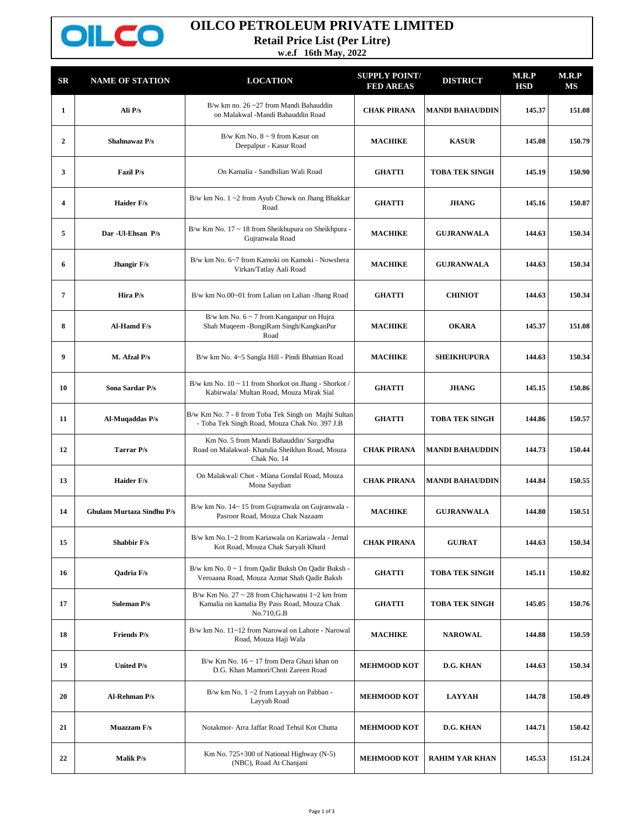

## **OILCO PETROLEUM PRIVATE LIMITED**

**Retail Price List (Per Litre)**

**w.e.f 16th May, 2022**

| $_{\rm SR}$  | <b>NAME OF STATION</b>           | <b>LOCATION</b>                                                                                                           | <b>SUPPLY POINT/</b><br><b>FED AREAS</b> | <b>DISTRICT</b>        | M.R.P<br>HSD | M.R.P<br>МS |
|--------------|----------------------------------|---------------------------------------------------------------------------------------------------------------------------|------------------------------------------|------------------------|--------------|-------------|
| 1            | Ali P/s                          | B/w km no. $26 - 27$ from Mandi Bahauddin<br>on Malakwal -Mandi Bahauddin Road                                            | <b>CHAK PIRANA</b>                       | <b>MANDI BAHAUDDIN</b> | 145.37       | 151.08      |
| $\mathbf{2}$ | Shahnawaz P/s                    | B/w Km No. $8 \sim 9$ from Kasur on<br>Deepalpur - Kasur Road                                                             | <b>MACHIKE</b>                           | <b>KASUR</b>           | 145.08       | 150.79      |
| 3            | <b>Fazil P/s</b>                 | On Kamalia - Sandhilian Wali Road                                                                                         | <b>GHATTI</b>                            | <b>TOBA TEK SINGH</b>  | 145.19       | 150.90      |
| 4            | <b>Haider F/s</b>                | B/w km No. $1 \sim 2$ from Ayub Chowk on Jhang Bhakkar<br>Road                                                            | <b>GHATTI</b>                            | <b>JHANG</b>           | 145.16       | 150.87      |
| 5            | Dar - Ul-Ehsan P/s               | B/w Km No. 17 ~ 18 from Sheikhupura on Sheikhpura -<br>Gujranwala Road                                                    | <b>MACHIKE</b>                           | <b>GUJRANWALA</b>      | 144.63       | 150.34      |
| 6            | Jhangir F/s                      | B/w km No. 6~7 from Kamoki on Kamoki - Nowshera<br>Virkan/Tatlay Aali Road                                                | <b>MACHIKE</b>                           | <b>GUJRANWALA</b>      | 144.63       | 150.34      |
| 7            | Hira P/s                         | B/w km No.00~01 from Lalian on Lalian -Jhang Road                                                                         | <b>GHATTI</b>                            | <b>CHINIOT</b>         | 144.63       | 150.34      |
| 8            | Al-Hamd F/s                      | B/w km No. $6 \sim 7$ from Kanganpur on Hujra<br>Shah Muqeem -BongiRam Singh/KangkanPur<br>Road                           | <b>MACHIKE</b>                           | <b>OKARA</b>           | 145.37       | 151.08      |
| 9            | M. Afzal P/s                     | B/w km No. 4~5 Sangla Hill - Pindi Bhattian Road                                                                          | <b>MACHIKE</b>                           | <b>SHEIKHUPURA</b>     | 144.63       | 150.34      |
| 10           | Sona Sardar P/s                  | B/w km No. 10 ~ 11 from Shorkot on Jhang - Shorkot /<br>Kabirwala/ Multan Road, Mouza Mirak Sial                          | <b>GHATTI</b>                            | <b>JHANG</b>           | 145.15       | 150.86      |
| 11           | Al-Muqaddas P/s                  | B/w Km No. 7 - 8 from Toba Tek Singh on Majhi Sultan<br>- Toba Tek Singh Road, Mouza Chak No. 397 J.B                     | <b>GHATTI</b>                            | <b>TOBA TEK SINGH</b>  | 144.86       | 150.57      |
| 12           | <b>Tarrar P/s</b>                | Km No. 5 from Mandi Bahauddin/ Sargodha<br>Road on Malakwal- Khatulia Sheikhan Road, Mouza<br>Chak No. 14                 | <b>CHAK PIRANA</b>                       | <b>MANDI BAHAUDDIN</b> | 144.73       | 150.44      |
| 13           | <b>Haider F/s</b>                | On Malakwal/ Chot - Miana Gondal Road, Mouza<br>Mona Saydian                                                              | <b>CHAK PIRANA</b>                       | <b>MANDI BAHAUDDIN</b> | 144.84       | 150.55      |
| 14           | <b>Ghulam Murtaza Sindhu P/s</b> | B/w km No. 14~15 from Gujranwala on Gujranwala -<br>Pasroor Road, Mouza Chak Nazaam                                       | <b>MACHIKE</b>                           | <b>GUJRANWALA</b>      | 144.80       | 150.51      |
| 15           | <b>Shabbir F/s</b>               | B/w km No.1~2 from Kariawala on Kariawala - Jemal<br>Kot Road, Mouza Chak Saryali Khurd                                   | <b>CHAK PIRANA</b>                       | <b>GUJRAT</b>          | 144.63       | 150.34      |
| 16           | Qadria F/s                       | $B/w$ km No. $0 \sim 1$ from Qadir Buksh On Qadir Buksh -<br>Veroaana Road, Mouza Azmat Shah Qadir Baksh                  | <b>GHATTI</b>                            | <b>TOBA TEK SINGH</b>  | 145.11       | 150.82      |
| 17           | <b>Suleman P/s</b>               | B/w Km No. 27 $\sim$ 28 from Chichawatni 1 $\sim$ 2 km from<br>Kamalia on kamalia By Pass Road, Mouza Chak<br>No.710, G.B | <b>GHATTI</b>                            | <b>TOBA TEK SINGH</b>  | 145.05       | 150.76      |
| 18           | <b>Friends P/s</b>               | B/w km No. 11~12 from Narowal on Lahore - Narowal<br>Road, Mouza Haji Wala                                                | <b>MACHIKE</b>                           | <b>NAROWAL</b>         | 144.88       | 150.59      |
| 19           | <b>United P/s</b>                | B/w Km No. 16 ~ 17 from Dera Ghazi khan on<br>D.G. Khan Mamori/Choti Zareen Road                                          | <b>MEHMOOD KOT</b>                       | D.G. KHAN              | 144.63       | 150.34      |
| 20           | Al-Rehman P/s                    | B/w km No. 1~2 from Layyah on Pabban -<br>Layyah Road                                                                     | <b>MEHMOOD KOT</b>                       | <b>LAYYAH</b>          | 144.78       | 150.49      |
| 21           | <b>Muazzam F/s</b>               | Notakmor- Arra Jaffar Road Tehsil Kot Chutta                                                                              | <b>MEHMOOD KOT</b>                       | D.G. KHAN              | 144.71       | 150.42      |
| 22           | <b>Malik P/s</b>                 | Km No. 725+300 of National Highway (N-5)<br>(NBC), Road At Chanjani                                                       | <b>MEHMOOD KOT</b>                       | <b>RAHIM YAR KHAN</b>  | 145.53       | 151.24      |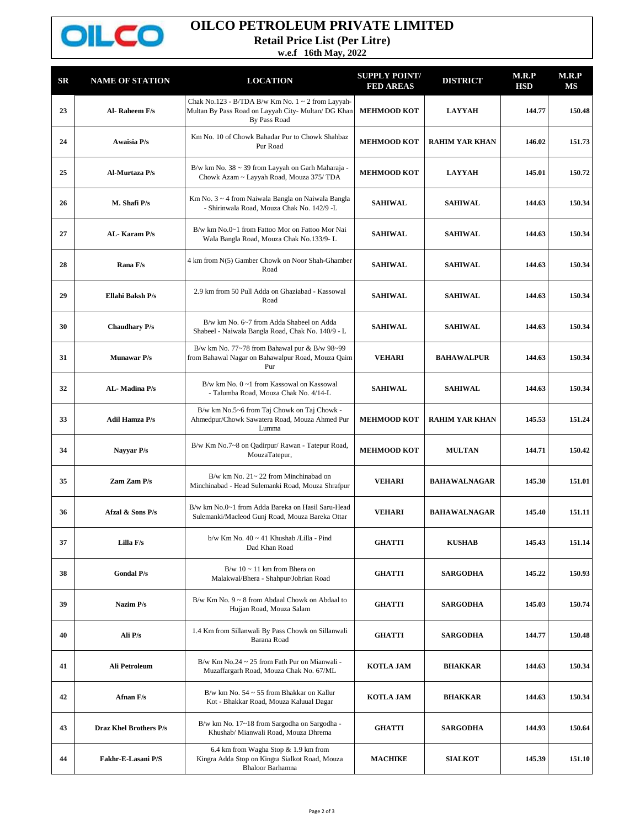

## **OILCO PETROLEUM PRIVATE LIMITED**

**Retail Price List (Per Litre)**

**w.e.f 16th May, 2022**

| $_{\rm SR}$ | <b>NAME OF STATION</b> | <b>LOCATION</b>                                                                                                               | <b>SUPPLY POINT/</b><br><b>FED AREAS</b> | <b>DISTRICT</b>       | M.R.P<br><b>HSD</b> | M.R.P<br>MS |
|-------------|------------------------|-------------------------------------------------------------------------------------------------------------------------------|------------------------------------------|-----------------------|---------------------|-------------|
| 23          | Al-Raheem F/s          | Chak No.123 - B/TDA B/w Km No. $1 \sim 2$ from Layyah-<br>Multan By Pass Road on Layyah City- Multan/ DG Khan<br>By Pass Road | <b>MEHMOOD KOT</b>                       | <b>LAYYAH</b>         | 144.77              | 150.48      |
| 24          | Awaisia P/s            | Km No. 10 of Chowk Bahadar Pur to Chowk Shahbaz<br>Pur Road                                                                   | <b>MEHMOOD KOT</b>                       | <b>RAHIM YAR KHAN</b> | 146.02              | 151.73      |
| 25          | Al-Murtaza P/s         | B/w km No. 38 ~ 39 from Layyah on Garh Maharaja -<br>Chowk Azam ~ Layyah Road, Mouza 375/ TDA                                 | <b>MEHMOOD KOT</b>                       | <b>LAYYAH</b>         | 145.01              | 150.72      |
| 26          | M. Shafi P/s           | Km No. $3\sim4$ from Naiwala Bangla on Naiwala Bangla<br>- Shirinwala Road, Mouza Chak No. 142/9 -L                           | <b>SAHIWAL</b>                           | <b>SAHIWAL</b>        | 144.63              | 150.34      |
| 27          | AL-Karam P/s           | B/w km No.0~1 from Fattoo Mor on Fattoo Mor Nai<br>Wala Bangla Road, Mouza Chak No.133/9-L                                    | <b>SAHIWAL</b>                           | <b>SAHIWAL</b>        | 144.63              | 150.34      |
| 28          | Rana F/s               | 4 km from N(5) Gamber Chowk on Noor Shah-Ghamber<br>Road                                                                      | <b>SAHIWAL</b>                           | <b>SAHIWAL</b>        | 144.63              | 150.34      |
| 29          | Ellahi Baksh P/s       | 2.9 km from 50 Pull Adda on Ghaziabad - Kassowal<br>Road                                                                      | <b>SAHIWAL</b>                           | <b>SAHIWAL</b>        | 144.63              | 150.34      |
| 30          | <b>Chaudhary P/s</b>   | B/w km No. 6~7 from Adda Shabeel on Adda<br>Shabeel - Naiwala Bangla Road, Chak No. 140/9 - L                                 | <b>SAHIWAL</b>                           | <b>SAHIWAL</b>        | 144.63              | 150.34      |
| 31          | <b>Munawar P/s</b>     | B/w km No. 77~78 from Bahawal pur & B/w 98~99<br>from Bahawal Nagar on Bahawalpur Road, Mouza Qaim<br>Pur                     | <b>VEHARI</b>                            | <b>BAHAWALPUR</b>     | 144.63              | 150.34      |
| 32          | AL-Madina P/s          | B/w km No. 0~1 from Kassowal on Kassowal<br>- Talumba Road, Mouza Chak No. 4/14-L                                             | <b>SAHIWAL</b>                           | <b>SAHIWAL</b>        | 144.63              | 150.34      |
| 33          | <b>Adil Hamza P/s</b>  | B/w km No.5~6 from Taj Chowk on Taj Chowk -<br>Ahmedpur/Chowk Sawatera Road, Mouza Ahmed Pur<br>Lumma                         | <b>MEHMOOD KOT</b>                       | <b>RAHIM YAR KHAN</b> | 145.53              | 151.24      |
| 34          | Nayyar P/s             | B/w Km No.7~8 on Qadirpur/ Rawan - Tatepur Road,<br>MouzaTatepur,                                                             | <b>MEHMOOD KOT</b>                       | <b>MULTAN</b>         | 144.71              | 150.42      |
| 35          | Zam Zam P/s            | $B/w$ km No. $21 \sim 22$ from Minchinabad on<br>Minchinabad - Head Sulemanki Road, Mouza Shrafpur                            | <b>VEHARI</b>                            | <b>BAHAWALNAGAR</b>   | 145.30              | 151.01      |
| 36          | Afzal & Sons P/s       | B/w km No.0~1 from Adda Bareka on Hasil Saru-Head<br>Sulemanki/Macleod Gunj Road, Mouza Bareka Ottar                          | <b>VEHARI</b>                            | <b>BAHAWALNAGAR</b>   | 145.40              | 151.11      |
| 37          | Lilla F/s              | b/w Km No. 40 ~ 41 Khushab /Lilla - Pind<br>Dad Khan Road                                                                     | <b>GHATTI</b>                            | <b>KUSHAB</b>         | 145.43              | 151.14      |
| 38          | <b>Gondal P/s</b>      | $B/w 10 \sim 11$ km from Bhera on<br>Malakwal/Bhera - Shahpur/Johrian Road                                                    | <b>GHATTI</b>                            | <b>SARGODHA</b>       | 145.22              | 150.93      |
| 39          | Nazim P/s              | $B/w$ Km No. $9 \sim 8$ from Abdaal Chowk on Abdaal to<br>Hujjan Road, Mouza Salam                                            | <b>GHATTI</b>                            | <b>SARGODHA</b>       | 145.03              | 150.74      |
| 40          | Ali P/s                | 1.4 Km from Sillanwali By Pass Chowk on Sillanwali<br>Barana Road                                                             | <b>GHATTI</b>                            | <b>SARGODHA</b>       | 144.77              | 150.48      |
| 41          | Ali Petroleum          | $B/w$ Km No.24 ~ 25 from Fath Pur on Mianwali -<br>Muzaffargarh Road, Mouza Chak No. 67/ML                                    | <b>KOTLA JAM</b>                         | <b>BHAKKAR</b>        | 144.63              | 150.34      |
| 42          | Afnan F/s              | B/w km No. $54 \sim 55$ from Bhakkar on Kallur<br>Kot - Bhakkar Road, Mouza Kaluual Dagar                                     | KOTLA JAM                                | <b>BHAKKAR</b>        | 144.63              | 150.34      |
| 43          | Draz Khel Brothers P/s | B/w km No. 17~18 from Sargodha on Sargodha -<br>Khushab/ Mianwali Road, Mouza Dhrema                                          | <b>GHATTI</b>                            | <b>SARGODHA</b>       | 144.93              | 150.64      |
| 44          | Fakhr-E-Lasani P/S     | 6.4 km from Wagha Stop & 1.9 km from<br>Kingra Adda Stop on Kingra Sialkot Road, Mouza<br>Bhaloor Barhamna                    | <b>MACHIKE</b>                           | <b>SIALKOT</b>        | 145.39              | 151.10      |